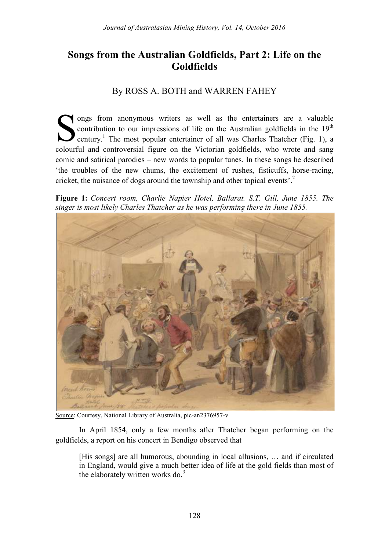# **Songs from the Australian Goldfields, Part 2: Life on the Goldfields**

## By ROSS A. BOTH and WARREN FAHEY

ongs from anonymous writers as well as the entertainers are a valuable contribution to our impressions of life on the Australian goldfields in the  $19<sup>th</sup>$ century.<sup>1</sup> The most popular entertainer of all was Charles Thatcher (Fig. 1), a contribution to our impressions of life on the Australian goldfields in the  $19<sup>th</sup>$  century.<sup>1</sup> The most popular entertainer of all was Charles Thatcher (Fig. 1), a colourful and controversial figure on the Victorian comic and satirical parodies – new words to popular tunes. In these songs he described 'the troubles of the new chums, the excitement of rushes, fisticuffs, horse-racing, cricket, the nuisance of dogs around the township and other topical events'.<sup>2</sup>

**Figure 1:** *Concert room, Charlie Napier Hotel, Ballarat. S.T. Gill, June 1855. The singer is most likely Charles Thatcher as he was performing there in June 1855.*



Source: Courtesy, National Library of Australia, pic-an2376957-v

In April 1854, only a few months after Thatcher began performing on the goldfields, a report on his concert in Bendigo observed that

[His songs] are all humorous, abounding in local allusions, … and if circulated in England, would give a much better idea of life at the gold fields than most of the elaborately written works do.<sup>3</sup>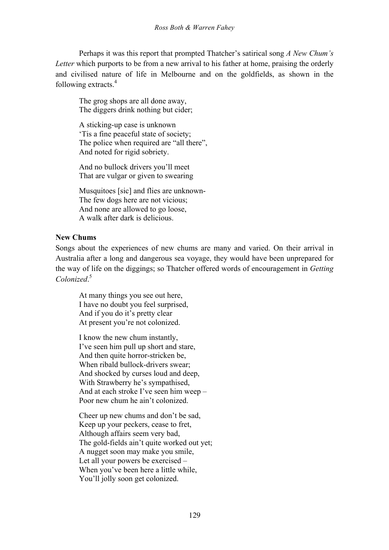Perhaps it was this report that prompted Thatcher's satirical song *A New Chum's Letter* which purports to be from a new arrival to his father at home, praising the orderly and civilised nature of life in Melbourne and on the goldfields, as shown in the following extracts.<sup>4</sup>

The grog shops are all done away, The diggers drink nothing but cider;

A sticking-up case is unknown 'Tis a fine peaceful state of society; The police when required are "all there", And noted for rigid sobriety.

And no bullock drivers you'll meet That are vulgar or given to swearing

Musquitoes [sic] and flies are unknown-The few dogs here are not vicious; And none are allowed to go loose, A walk after dark is delicious.

## **New Chums**

Songs about the experiences of new chums are many and varied. On their arrival in Australia after a long and dangerous sea voyage, they would have been unprepared for the way of life on the diggings; so Thatcher offered words of encouragement in *Getting Colonized*. 5

At many things you see out here, I have no doubt you feel surprised, And if you do it's pretty clear At present you're not colonized.

I know the new chum instantly, I've seen him pull up short and stare, And then quite horror-stricken be, When ribald bullock-drivers swear; And shocked by curses loud and deep, With Strawberry he's sympathised, And at each stroke I've seen him weep – Poor new chum he ain't colonized.

Cheer up new chums and don't be sad, Keep up your peckers, cease to fret, Although affairs seem very bad, The gold-fields ain't quite worked out yet; A nugget soon may make you smile, Let all your powers be exercised – When you've been here a little while, You'll jolly soon get colonized.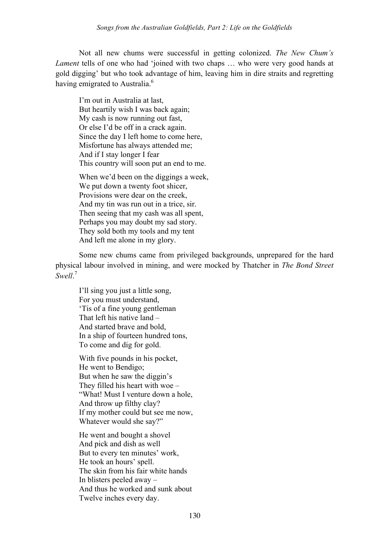Not all new chums were successful in getting colonized. *The New Chum's Lament* tells of one who had 'joined with two chaps ... who were very good hands at gold digging' but who took advantage of him, leaving him in dire straits and regretting having emigrated to Australia.<sup>6</sup>

I'm out in Australia at last, But heartily wish I was back again; My cash is now running out fast, Or else I'd be off in a crack again. Since the day I left home to come here, Misfortune has always attended me; And if I stay longer I fear This country will soon put an end to me.

When we'd been on the diggings a week, We put down a twenty foot shicer, Provisions were dear on the creek, And my tin was run out in a trice, sir. Then seeing that my cash was all spent, Perhaps you may doubt my sad story. They sold both my tools and my tent And left me alone in my glory.

Some new chums came from privileged backgrounds, unprepared for the hard physical labour involved in mining, and were mocked by Thatcher in *The Bond Street Swell*. 7

I'll sing you just a little song, For you must understand, 'Tis of a fine young gentleman That left his native land – And started brave and bold, In a ship of fourteen hundred tons, To come and dig for gold.

With five pounds in his pocket, He went to Bendigo; But when he saw the diggin's They filled his heart with woe – "What! Must I venture down a hole, And throw up filthy clay? If my mother could but see me now, Whatever would she say?"

He went and bought a shovel And pick and dish as well But to every ten minutes' work, He took an hours' spell. The skin from his fair white hands In blisters peeled away – And thus he worked and sunk about Twelve inches every day.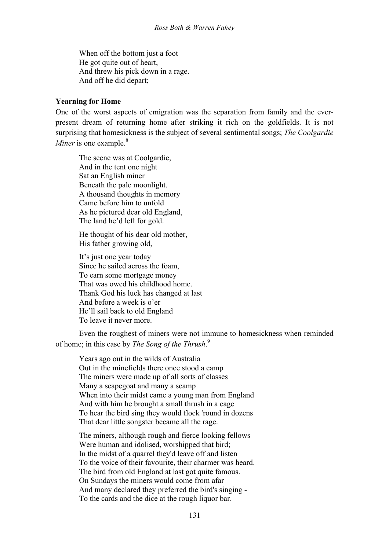When off the bottom just a foot He got quite out of heart, And threw his pick down in a rage. And off he did depart;

#### **Yearning for Home**

One of the worst aspects of emigration was the separation from family and the everpresent dream of returning home after striking it rich on the goldfields. It is not surprising that homesickness is the subject of several sentimental songs; *The Coolgardie Miner* is one example.<sup>8</sup>

The scene was at Coolgardie, And in the tent one night Sat an English miner Beneath the pale moonlight. A thousand thoughts in memory Came before him to unfold As he pictured dear old England, The land he'd left for gold.

He thought of his dear old mother, His father growing old,

It's just one year today Since he sailed across the foam, To earn some mortgage money That was owed his childhood home. Thank God his luck has changed at last And before a week is o'er He'll sail back to old England To leave it never more.

Even the roughest of miners were not immune to homesickness when reminded of home; in this case by *The Song of the Thrush*. 9

Years ago out in the wilds of Australia Out in the minefields there once stood a camp The miners were made up of all sorts of classes Many a scapegoat and many a scamp When into their midst came a young man from England And with him he brought a small thrush in a cage To hear the bird sing they would flock 'round in dozens That dear little songster became all the rage.

The miners, although rough and fierce looking fellows Were human and idolised, worshipped that bird; In the midst of a quarrel they'd leave off and listen To the voice of their favourite, their charmer was heard. The bird from old England at last got quite famous. On Sundays the miners would come from afar And many declared they preferred the bird's singing - To the cards and the dice at the rough liquor bar.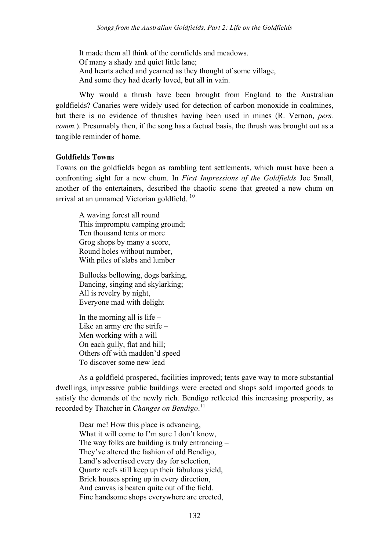It made them all think of the cornfields and meadows. Of many a shady and quiet little lane; And hearts ached and yearned as they thought of some village, And some they had dearly loved, but all in vain.

Why would a thrush have been brought from England to the Australian goldfields? Canaries were widely used for detection of carbon monoxide in coalmines, but there is no evidence of thrushes having been used in mines (R. Vernon, *pers. comm.*). Presumably then, if the song has a factual basis, the thrush was brought out as a tangible reminder of home.

#### **Goldfields Towns**

Towns on the goldfields began as rambling tent settlements, which must have been a confronting sight for a new chum. In *First Impressions of the Goldfields* Joe Small, another of the entertainers, described the chaotic scene that greeted a new chum on arrival at an unnamed Victorian goldfield.<sup>10</sup>

A waving forest all round This impromptu camping ground; Ten thousand tents or more Grog shops by many a score, Round holes without number, With piles of slabs and lumber

Bullocks bellowing, dogs barking, Dancing, singing and skylarking; All is revelry by night, Everyone mad with delight

In the morning all is life  $-$ Like an army ere the strife – Men working with a will On each gully, flat and hill; Others off with madden'd speed To discover some new lead

As a goldfield prospered, facilities improved; tents gave way to more substantial dwellings, impressive public buildings were erected and shops sold imported goods to satisfy the demands of the newly rich. Bendigo reflected this increasing prosperity, as recorded by Thatcher in *Changes on Bendigo*. 11

Dear me! How this place is advancing, What it will come to I'm sure I don't know, The way folks are building is truly entrancing – They've altered the fashion of old Bendigo, Land's advertised every day for selection, Quartz reefs still keep up their fabulous yield, Brick houses spring up in every direction, And canvas is beaten quite out of the field. Fine handsome shops everywhere are erected,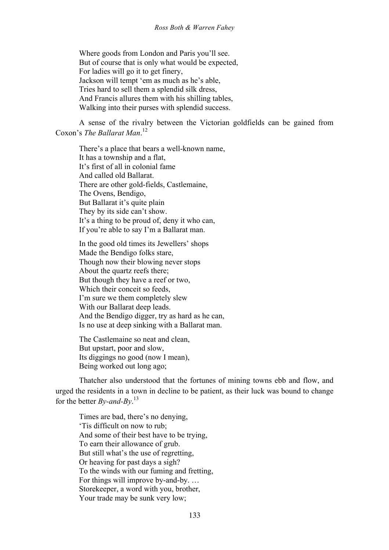Where goods from London and Paris you'll see. But of course that is only what would be expected, For ladies will go it to get finery, Jackson will tempt 'em as much as he's able, Tries hard to sell them a splendid silk dress, And Francis allures them with his shilling tables, Walking into their purses with splendid success.

A sense of the rivalry between the Victorian goldfields can be gained from Coxon's *The Ballarat Man*. 12

There's a place that bears a well-known name, It has a township and a flat, It's first of all in colonial fame And called old Ballarat. There are other gold-fields, Castlemaine, The Ovens, Bendigo, But Ballarat it's quite plain They by its side can't show. It's a thing to be proud of, deny it who can, If you're able to say I'm a Ballarat man.

In the good old times its Jewellers' shops Made the Bendigo folks stare, Though now their blowing never stops About the quartz reefs there; But though they have a reef or two, Which their conceit so feeds, I'm sure we them completely slew With our Ballarat deep leads. And the Bendigo digger, try as hard as he can, Is no use at deep sinking with a Ballarat man.

The Castlemaine so neat and clean, But upstart, poor and slow, Its diggings no good (now I mean), Being worked out long ago;

Thatcher also understood that the fortunes of mining towns ebb and flow, and urged the residents in a town in decline to be patient, as their luck was bound to change for the better *By-and-By*. 13

Times are bad, there's no denying, 'Tis difficult on now to rub; And some of their best have to be trying, To earn their allowance of grub. But still what's the use of regretting, Or heaving for past days a sigh? To the winds with our fuming and fretting, For things will improve by-and-by. … Storekeeper, a word with you, brother, Your trade may be sunk very low;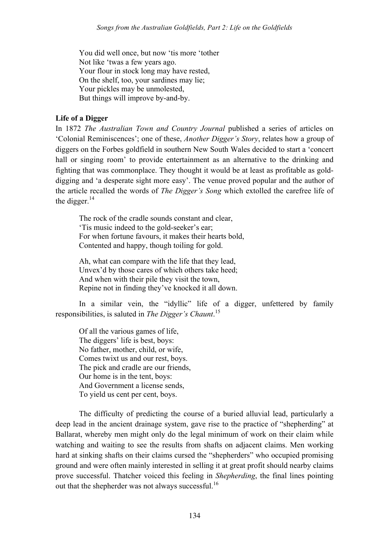You did well once, but now 'tis more 'tother Not like 'twas a few years ago. Your flour in stock long may have rested, On the shelf, too, your sardines may lie; Your pickles may be unmolested, But things will improve by-and-by.

### **Life of a Digger**

In 1872 *The Australian Town and Country Journal* published a series of articles on 'Colonial Reminiscences'; one of these, *Another Digger's Story*, relates how a group of diggers on the Forbes goldfield in southern New South Wales decided to start a 'concert hall or singing room' to provide entertainment as an alternative to the drinking and fighting that was commonplace. They thought it would be at least as profitable as golddigging and 'a desperate sight more easy'. The venue proved popular and the author of the article recalled the words of *The Digger's Song* which extolled the carefree life of the digger. $14$ 

The rock of the cradle sounds constant and clear, 'Tis music indeed to the gold-seeker's ear; For when fortune favours, it makes their hearts bold, Contented and happy, though toiling for gold.

Ah, what can compare with the life that they lead, Unvex'd by those cares of which others take heed; And when with their pile they visit the town, Repine not in finding they've knocked it all down.

In a similar vein, the "idyllic" life of a digger, unfettered by family responsibilities, is saluted in *The Digger's Chaunt*. 15

Of all the various games of life, The diggers' life is best, boys: No father, mother, child, or wife, Comes twixt us and our rest, boys. The pick and cradle are our friends, Our home is in the tent, boys: And Government a license sends, To yield us cent per cent, boys.

The difficulty of predicting the course of a buried alluvial lead, particularly a deep lead in the ancient drainage system, gave rise to the practice of "shepherding" at Ballarat, whereby men might only do the legal minimum of work on their claim while watching and waiting to see the results from shafts on adjacent claims. Men working hard at sinking shafts on their claims cursed the "shepherders" who occupied promising ground and were often mainly interested in selling it at great profit should nearby claims prove successful. Thatcher voiced this feeling in *Shepherding*, the final lines pointing out that the shepherder was not always successful.<sup>16</sup>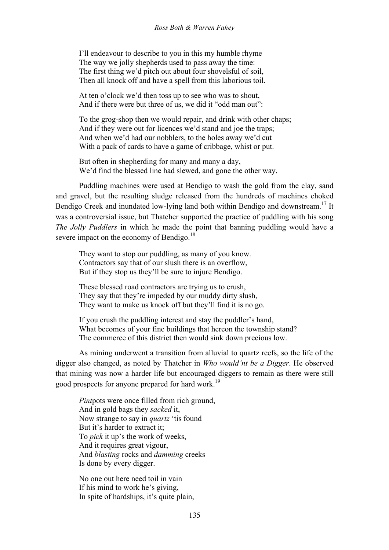I'll endeavour to describe to you in this my humble rhyme The way we jolly shepherds used to pass away the time: The first thing we'd pitch out about four shovelsful of soil, Then all knock off and have a spell from this laborious toil.

At ten o'clock we'd then toss up to see who was to shout, And if there were but three of us, we did it "odd man out":

To the grog-shop then we would repair, and drink with other chaps; And if they were out for licences we'd stand and joe the traps; And when we'd had our nobblers, to the holes away we'd cut With a pack of cards to have a game of cribbage, whist or put.

But often in shepherding for many and many a day, We'd find the blessed line had slewed, and gone the other way.

Puddling machines were used at Bendigo to wash the gold from the clay, sand and gravel, but the resulting sludge released from the hundreds of machines choked Bendigo Creek and inundated low-lying land both within Bendigo and downstream.<sup>17</sup> It was a controversial issue, but Thatcher supported the practice of puddling with his song *The Jolly Puddlers* in which he made the point that banning puddling would have a severe impact on the economy of Bendigo.<sup>18</sup>

They want to stop our puddling, as many of you know. Contractors say that of our slush there is an overflow, But if they stop us they'll be sure to injure Bendigo.

These blessed road contractors are trying us to crush, They say that they're impeded by our muddy dirty slush, They want to make us knock off but they'll find it is no go.

If you crush the puddling interest and stay the puddler's hand, What becomes of your fine buildings that hereon the township stand? The commerce of this district then would sink down precious low.

As mining underwent a transition from alluvial to quartz reefs, so the life of the digger also changed, as noted by Thatcher in *Who would'nt be a Digger*. He observed that mining was now a harder life but encouraged diggers to remain as there were still good prospects for anyone prepared for hard work.<sup>19</sup>

*Pint*pots were once filled from rich ground, And in gold bags they *sacked* it, Now strange to say in *quartz* 'tis found But it's harder to extract it: To *pick* it up's the work of weeks, And it requires great vigour, And *blasting* rocks and *damming* creeks Is done by every digger.

No one out here need toil in vain If his mind to work he's giving, In spite of hardships, it's quite plain,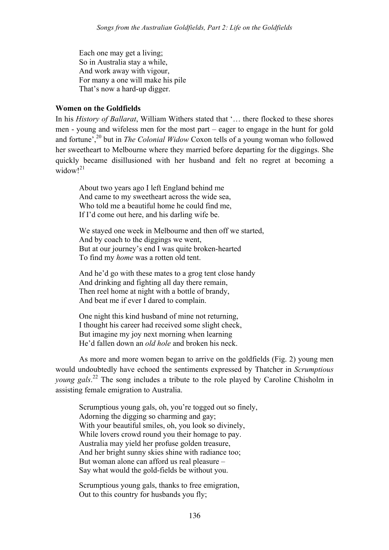Each one may get a living; So in Australia stay a while, And work away with vigour, For many a one will make his pile That's now a hard-up digger.

#### **Women on the Goldfields**

In his *History of Ballarat*, William Withers stated that '… there flocked to these shores men - young and wifeless men for the most part – eager to engage in the hunt for gold and fortune',<sup>20</sup> but in *The Colonial Widow* Coxon tells of a young woman who followed her sweetheart to Melbourne where they married before departing for the diggings. She quickly became disillusioned with her husband and felt no regret at becoming a widow $1^{21}$ 

About two years ago I left England behind me And came to my sweetheart across the wide sea, Who told me a beautiful home he could find me, If I'd come out here, and his darling wife be.

We stayed one week in Melbourne and then off we started, And by coach to the diggings we went, But at our journey's end I was quite broken-hearted To find my *home* was a rotten old tent.

And he'd go with these mates to a grog tent close handy And drinking and fighting all day there remain, Then reel home at night with a bottle of brandy, And beat me if ever I dared to complain.

One night this kind husband of mine not returning, I thought his career had received some slight check, But imagine my joy next morning when learning He'd fallen down an *old hole* and broken his neck.

As more and more women began to arrive on the goldfields (Fig. 2) young men would undoubtedly have echoed the sentiments expressed by Thatcher in *Scrumptious young gals*. <sup>22</sup> The song includes a tribute to the role played by Caroline Chisholm in assisting female emigration to Australia.

Scrumptious young gals, oh, you're togged out so finely, Adorning the digging so charming and gay; With your beautiful smiles, oh, you look so divinely, While lovers crowd round you their homage to pay. Australia may yield her profuse golden treasure, And her bright sunny skies shine with radiance too; But woman alone can afford us real pleasure – Say what would the gold-fields be without you.

Scrumptious young gals, thanks to free emigration, Out to this country for husbands you fly;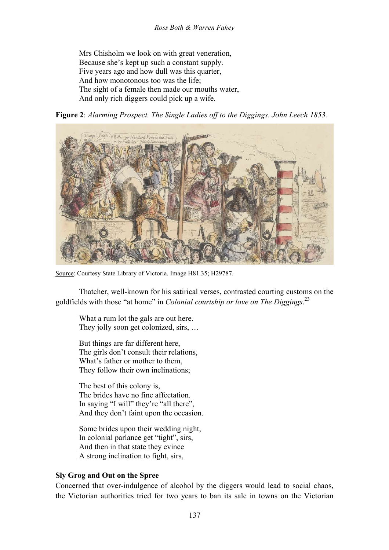Mrs Chisholm we look on with great veneration, Because she's kept up such a constant supply. Five years ago and how dull was this quarter, And how monotonous too was the life; The sight of a female then made our mouths water, And only rich diggers could pick up a wife.





Source: Courtesy State Library of Victoria. Image H81.35; H29787.

Thatcher, well-known for his satirical verses, contrasted courting customs on the goldfields with those "at home" in *Colonial courtship or love on The Diggings*. 23

What a rum lot the gals are out here. They jolly soon get colonized, sirs, …

But things are far different here, The girls don't consult their relations, What's father or mother to them, They follow their own inclinations;

The best of this colony is, The brides have no fine affectation. In saying "I will" they're "all there", And they don't faint upon the occasion.

Some brides upon their wedding night, In colonial parlance get "tight", sirs, And then in that state they evince A strong inclination to fight, sirs,

#### **Sly Grog and Out on the Spree**

Concerned that over-indulgence of alcohol by the diggers would lead to social chaos, the Victorian authorities tried for two years to ban its sale in towns on the Victorian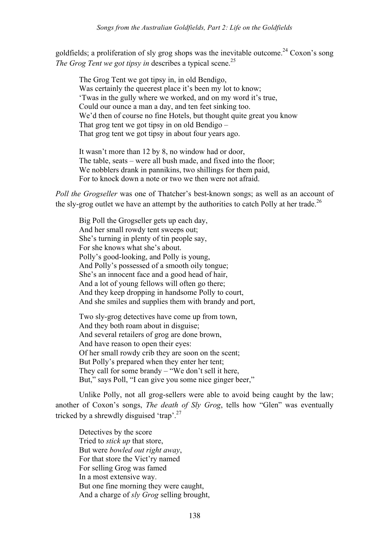goldfields; a proliferation of sly grog shops was the inevitable outcome.<sup>24</sup> Coxon's song *The Grog Tent we got tipsy in describes a typical scene.*<sup>25</sup>

The Grog Tent we got tipsy in, in old Bendigo, Was certainly the queerest place it's been my lot to know; 'Twas in the gully where we worked, and on my word it's true, Could our ounce a man a day, and ten feet sinking too. We'd then of course no fine Hotels, but thought quite great you know That grog tent we got tipsy in on old Bendigo – That grog tent we got tipsy in about four years ago.

It wasn't more than 12 by 8, no window had or door, The table, seats – were all bush made, and fixed into the floor; We nobblers drank in pannikins, two shillings for them paid, For to knock down a note or two we then were not afraid.

*Poll the Grogseller* was one of Thatcher's best-known songs; as well as an account of the sly-grog outlet we have an attempt by the authorities to catch Polly at her trade.<sup>26</sup>

Big Poll the Grogseller gets up each day, And her small rowdy tent sweeps out; She's turning in plenty of tin people say, For she knows what she's about. Polly's good-looking, and Polly is young, And Polly's possessed of a smooth oily tongue; She's an innocent face and a good head of hair, And a lot of young fellows will often go there; And they keep dropping in handsome Polly to court, And she smiles and supplies them with brandy and port,

Two sly-grog detectives have come up from town, And they both roam about in disguise; And several retailers of grog are done brown, And have reason to open their eyes: Of her small rowdy crib they are soon on the scent; But Polly's prepared when they enter her tent; They call for some brandy – "We don't sell it here, But," says Poll, "I can give you some nice ginger beer,"

Unlike Polly, not all grog-sellers were able to avoid being caught by the law; another of Coxon's songs, *The death of Sly Grog*, tells how "Glen" was eventually tricked by a shrewdly disguised 'trap'.<sup>27</sup>

Detectives by the score Tried to *stick up* that store, But were *bowled out right away*, For that store the Vict'ry named For selling Grog was famed In a most extensive way. But one fine morning they were caught, And a charge of *sly Grog* selling brought,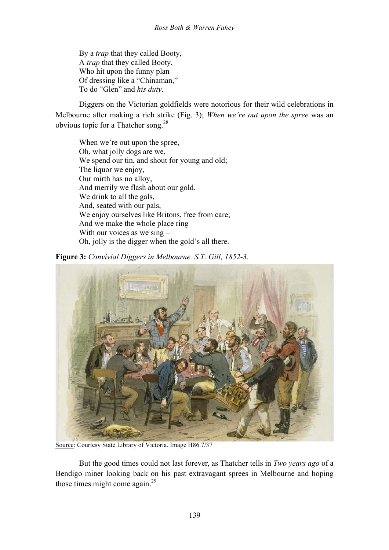By a *trap* that they called Booty, A *trap* that they called Booty, Who hit upon the funny plan Of dressing like a "Chinaman," To do "Glen" and *his duty*.

Diggers on the Victorian goldfields were notorious for their wild celebrations in Melbourne after making a rich strike (Fig. 3); *When we're out upon the spree* was an obvious topic for a Thatcher song.<sup>28</sup>

When we're out upon the spree. Oh, what jolly dogs are we, We spend our tin, and shout for young and old; The liquor we enjoy, Our mirth has no alloy, And merrily we flash about our gold. We drink to all the gals, And, seated with our pals, We enjoy ourselves like Britons, free from care; And we make the whole place ring With our voices as we sing – Oh, jolly is the digger when the gold's all there.

**Figure 3:** *Convivial Diggers in Melbourne. S.T. Gill, 1852-3.*



Source: Courtesy State Library of Victoria. Image H86.7/37

But the good times could not last forever, as Thatcher tells in *Two years ago* of a Bendigo miner looking back on his past extravagant sprees in Melbourne and hoping those times might come again. $^{29}$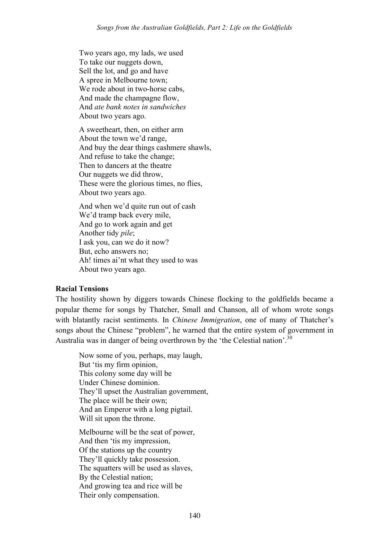Two years ago, my lads, we used To take our nuggets down, Sell the lot, and go and have A spree in Melbourne town; We rode about in two-horse cabs, And made the champagne flow, And *ate bank notes in sandwiches* About two years ago.

A sweetheart, then, on either arm About the town we'd range, And buy the dear things cashmere shawls, And refuse to take the change; Then to dancers at the theatre Our nuggets we did throw, These were the glorious times, no flies, About two years ago.

And when we'd quite run out of cash We'd tramp back every mile, And go to work again and get Another tidy *pile*; I ask you, can we do it now? But, echo answers no; Ah! times ai'nt what they used to was About two years ago.

#### **Racial Tensions**

The hostility shown by diggers towards Chinese flocking to the goldfields became a popular theme for songs by Thatcher, Small and Chanson, all of whom wrote songs with blatantly racist sentiments. In *Chinese Immigration*, one of many of Thatcher's songs about the Chinese "problem", he warned that the entire system of government in Australia was in danger of being overthrown by the 'the Celestial nation'.<sup>30</sup>

Now some of you, perhaps, may laugh, But 'tis my firm opinion, This colony some day will be Under Chinese dominion. They'll upset the Australian government, The place will be their own; And an Emperor with a long pigtail. Will sit upon the throne.

Melbourne will be the seat of power, And then 'tis my impression, Of the stations up the country They'll quickly take possession. The squatters will be used as slaves, By the Celestial nation; And growing tea and rice will be Their only compensation.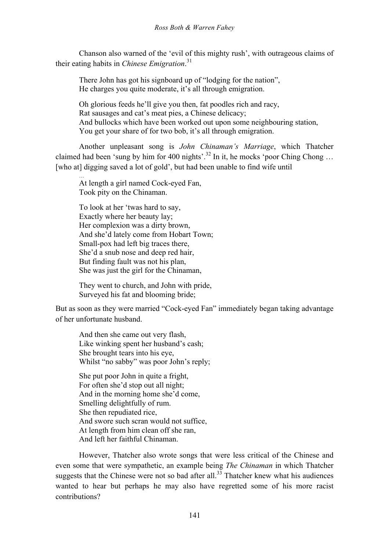Chanson also warned of the 'evil of this mighty rush', with outrageous claims of their eating habits in *Chinese Emigration*. 31

There John has got his signboard up of "lodging for the nation", He charges you quite moderate, it's all through emigration.

Oh glorious feeds he'll give you then, fat poodles rich and racy, Rat sausages and cat's meat pies, a Chinese delicacy; And bullocks which have been worked out upon some neighbouring station, You get your share of for two bob, it's all through emigration.

Another unpleasant song is *John Chinaman's Marriage*, which Thatcher claimed had been 'sung by him for 400 nights'.<sup>32</sup> In it, he mocks 'poor Ching Chong ... [who at] digging saved a lot of gold', but had been unable to find wife until

At length a girl named Cock-eyed Fan, Took pity on the Chinaman.

…

To look at her 'twas hard to say, Exactly where her beauty lay; Her complexion was a dirty brown, And she'd lately come from Hobart Town; Small-pox had left big traces there, She'd a snub nose and deep red hair, But finding fault was not his plan, She was just the girl for the Chinaman,

They went to church, and John with pride, Surveyed his fat and blooming bride;

But as soon as they were married "Cock-eyed Fan" immediately began taking advantage of her unfortunate husband.

And then she came out very flash, Like winking spent her husband's cash; She brought tears into his eye, Whilst "no sabby" was poor John's reply;

She put poor John in quite a fright, For often she'd stop out all night; And in the morning home she'd come, Smelling delightfully of rum. She then repudiated rice, And swore such scran would not suffice, At length from him clean off she ran, And left her faithful Chinaman.

However, Thatcher also wrote songs that were less critical of the Chinese and even some that were sympathetic, an example being *The Chinaman* in which Thatcher suggests that the Chinese were not so bad after all. $33$  Thatcher knew what his audiences wanted to hear but perhaps he may also have regretted some of his more racist contributions?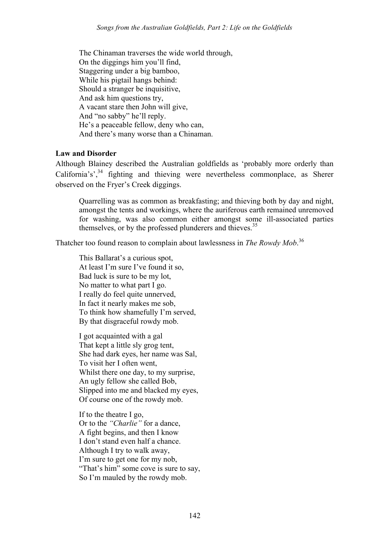The Chinaman traverses the wide world through, On the diggings him you'll find, Staggering under a big bamboo, While his pigtail hangs behind: Should a stranger be inquisitive, And ask him questions try, A vacant stare then John will give, And "no sabby" he'll reply. He's a peaceable fellow, deny who can, And there's many worse than a Chinaman.

### **Law and Disorder**

Although Blainey described the Australian goldfields as 'probably more orderly than California's',  $34$  fighting and thieving were nevertheless commonplace, as Sherer observed on the Fryer's Creek diggings.

Quarrelling was as common as breakfasting; and thieving both by day and night, amongst the tents and workings, where the auriferous earth remained unremoved for washing, was also common either amongst some ill-associated parties themselves, or by the professed plunderers and thieves.<sup>35</sup>

Thatcher too found reason to complain about lawlessness in *The Rowdy Mob*. 36

This Ballarat's a curious spot, At least I'm sure I've found it so, Bad luck is sure to be my lot, No matter to what part I go. I really do feel quite unnerved, In fact it nearly makes me sob, To think how shamefully I'm served, By that disgraceful rowdy mob.

I got acquainted with a gal That kept a little sly grog tent, She had dark eyes, her name was Sal, To visit her I often went, Whilst there one day, to my surprise, An ugly fellow she called Bob, Slipped into me and blacked my eyes, Of course one of the rowdy mob.

If to the theatre I go, Or to the *"Charlie"* for a dance, A fight begins, and then I know I don't stand even half a chance. Although I try to walk away, I'm sure to get one for my nob, "That's him" some cove is sure to say, So I'm mauled by the rowdy mob.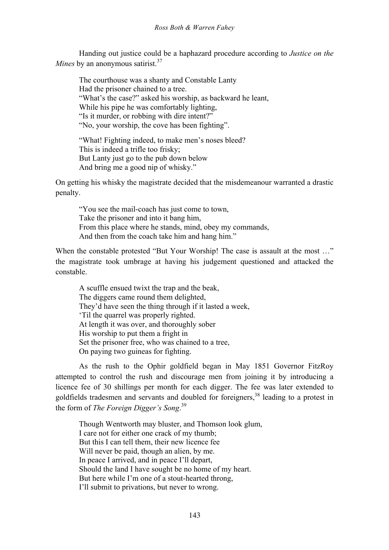Handing out justice could be a haphazard procedure according to *Justice on the Mines* by an anonymous satirist.<sup>37</sup>

The courthouse was a shanty and Constable Lanty Had the prisoner chained to a tree. "What's the case?" asked his worship, as backward he leant, While his pipe he was comfortably lighting, "Is it murder, or robbing with dire intent?" "No, your worship, the cove has been fighting".

"What! Fighting indeed, to make men's noses bleed? This is indeed a trifle too frisky; But Lanty just go to the pub down below And bring me a good nip of whisky."

On getting his whisky the magistrate decided that the misdemeanour warranted a drastic penalty.

"You see the mail-coach has just come to town, Take the prisoner and into it bang him, From this place where he stands, mind, obey my commands, And then from the coach take him and hang him."

When the constable protested "But Your Worship! The case is assault at the most ..." the magistrate took umbrage at having his judgement questioned and attacked the constable.

A scuffle ensued twixt the trap and the beak, The diggers came round them delighted, They'd have seen the thing through if it lasted a week, 'Til the quarrel was properly righted. At length it was over, and thoroughly sober His worship to put them a fright in Set the prisoner free, who was chained to a tree, On paying two guineas for fighting.

As the rush to the Ophir goldfield began in May 1851 Governor FitzRoy attempted to control the rush and discourage men from joining it by introducing a licence fee of 30 shillings per month for each digger. The fee was later extended to goldfields tradesmen and servants and doubled for foreigners,<sup>38</sup> leading to a protest in the form of *The Foreign Digger's Song*. 39

Though Wentworth may bluster, and Thomson look glum, I care not for either one crack of my thumb; But this I can tell them, their new licence fee Will never be paid, though an alien, by me. In peace I arrived, and in peace I'll depart, Should the land I have sought be no home of my heart. But here while I'm one of a stout-hearted throng, I'll submit to privations, but never to wrong.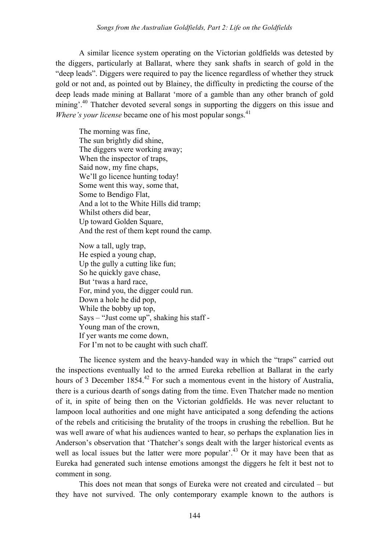A similar licence system operating on the Victorian goldfields was detested by the diggers, particularly at Ballarat, where they sank shafts in search of gold in the "deep leads". Diggers were required to pay the licence regardless of whether they struck gold or not and, as pointed out by Blainey, the difficulty in predicting the course of the deep leads made mining at Ballarat 'more of a gamble than any other branch of gold mining'.<sup>40</sup> Thatcher devoted several songs in supporting the diggers on this issue and *Where's your license* became one of his most popular songs.<sup>41</sup>

The morning was fine, The sun brightly did shine, The diggers were working away; When the inspector of traps, Said now, my fine chaps, We'll go licence hunting today! Some went this way, some that, Some to Bendigo Flat, And a lot to the White Hills did tramp; Whilst others did bear, Up toward Golden Square, And the rest of them kept round the camp.

Now a tall, ugly trap, He espied a young chap, Up the gully a cutting like fun; So he quickly gave chase, But 'twas a hard race, For, mind you, the digger could run. Down a hole he did pop, While the bobby up top, Says – "Just come up", shaking his staff - Young man of the crown, If yer wants me come down, For I'm not to be caught with such chaff.

The licence system and the heavy-handed way in which the "traps" carried out the inspections eventually led to the armed Eureka rebellion at Ballarat in the early hours of 3 December 1854.<sup>42</sup> For such a momentous event in the history of Australia, there is a curious dearth of songs dating from the time. Even Thatcher made no mention of it, in spite of being then on the Victorian goldfields. He was never reluctant to lampoon local authorities and one might have anticipated a song defending the actions of the rebels and criticising the brutality of the troops in crushing the rebellion. But he was well aware of what his audiences wanted to hear, so perhaps the explanation lies in Anderson's observation that 'Thatcher's songs dealt with the larger historical events as well as local issues but the latter were more popular<sup> $1,43$ </sup> Or it may have been that as Eureka had generated such intense emotions amongst the diggers he felt it best not to comment in song.

This does not mean that songs of Eureka were not created and circulated – but they have not survived. The only contemporary example known to the authors is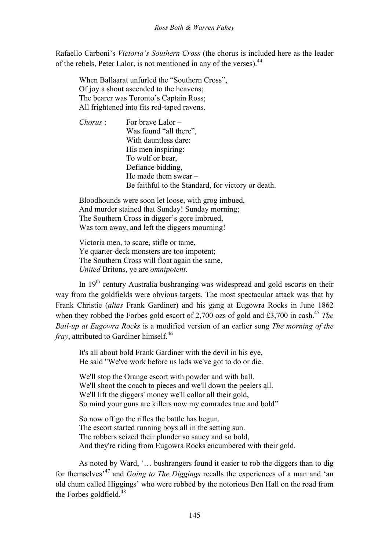Rafaello Carboni's *Victoria's Southern Cross* (the chorus is included here as the leader of the rebels. Peter Lalor, is not mentioned in any of the verses).  $44$ 

When Ballaarat unfurled the "Southern Cross", Of joy a shout ascended to the heavens; The bearer was Toronto's Captain Ross; All frightened into fits red-taped ravens.

*Chorus* : For brave Lalor – Was found "all there". With dauntless dare: His men inspiring: To wolf or bear, Defiance bidding, He made them swear – Be faithful to the Standard, for victory or death.

Bloodhounds were soon let loose, with grog imbued, And murder stained that Sunday! Sunday morning; The Southern Cross in digger's gore imbrued, Was torn away, and left the diggers mourning!

Victoria men, to scare, stifle or tame, Ye quarter-deck monsters are too impotent; The Southern Cross will float again the same, *United* Britons, ye are *omnipotent*.

In 19<sup>th</sup> century Australia bushranging was widespread and gold escorts on their way from the goldfields were obvious targets. The most spectacular attack was that by Frank Christie (*alias* Frank Gardiner) and his gang at Eugowra Rocks in June 1862 when they robbed the Forbes gold escort of 2,700 ozs of gold and £3,700 in cash.<sup>45</sup> *The Bail-up at Eugowra Rocks* is a modified version of an earlier song *The morning of the fray*, attributed to Gardiner himself.<sup>46</sup>

It's all about bold Frank Gardiner with the devil in his eye, He said "We've work before us lads we've got to do or die.

We'll stop the Orange escort with powder and with ball. We'll shoot the coach to pieces and we'll down the peelers all. We'll lift the diggers' money we'll collar all their gold, So mind your guns are killers now my comrades true and bold"

So now off go the rifles the battle has begun. The escort started running boys all in the setting sun. The robbers seized their plunder so saucy and so bold, And they're riding from Eugowra Rocks encumbered with their gold.

As noted by Ward, '… bushrangers found it easier to rob the diggers than to dig for themselves'<sup>47</sup> and *Going to The Diggings* recalls the experiences of a man and 'an old chum called Higgings' who were robbed by the notorious Ben Hall on the road from the Forbes goldfield. $48$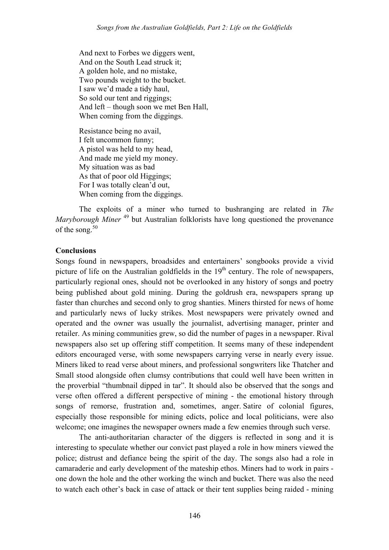And next to Forbes we diggers went, And on the South Lead struck it; A golden hole, and no mistake, Two pounds weight to the bucket. I saw we'd made a tidy haul, So sold our tent and riggings: And left – though soon we met Ben Hall, When coming from the diggings.

Resistance being no avail, I felt uncommon funny; A pistol was held to my head, And made me yield my money. My situation was as bad As that of poor old Higgings; For I was totally clean'd out, When coming from the diggings.

The exploits of a miner who turned to bushranging are related in *The Maryborough Miner*<sup>49</sup> but Australian folklorists have long questioned the provenance of the song.<sup>50</sup>

### **Conclusions**

Songs found in newspapers, broadsides and entertainers' songbooks provide a vivid picture of life on the Australian goldfields in the  $19<sup>th</sup>$  century. The role of newspapers, particularly regional ones, should not be overlooked in any history of songs and poetry being published about gold mining. During the goldrush era, newspapers sprang up faster than churches and second only to grog shanties. Miners thirsted for news of home and particularly news of lucky strikes. Most newspapers were privately owned and operated and the owner was usually the journalist, advertising manager, printer and retailer. As mining communities grew, so did the number of pages in a newspaper. Rival newspapers also set up offering stiff competition. It seems many of these independent editors encouraged verse, with some newspapers carrying verse in nearly every issue. Miners liked to read verse about miners, and professional songwriters like Thatcher and Small stood alongside often clumsy contributions that could well have been written in the proverbial "thumbnail dipped in tar". It should also be observed that the songs and verse often offered a different perspective of mining - the emotional history through songs of remorse, frustration and, sometimes, anger. Satire of colonial figures, especially those responsible for mining edicts, police and local politicians, were also welcome; one imagines the newspaper owners made a few enemies through such verse.

The anti-authoritarian character of the diggers is reflected in song and it is interesting to speculate whether our convict past played a role in how miners viewed the police; distrust and defiance being the spirit of the day. The songs also had a role in camaraderie and early development of the mateship ethos. Miners had to work in pairs one down the hole and the other working the winch and bucket. There was also the need to watch each other's back in case of attack or their tent supplies being raided - mining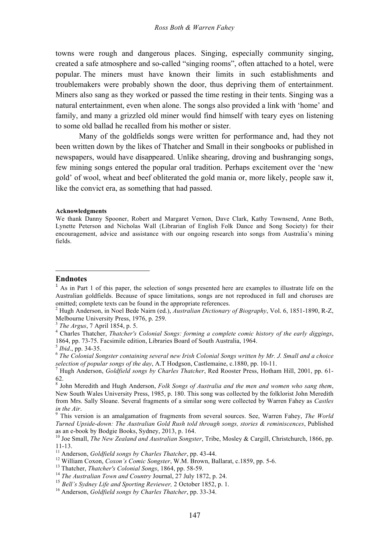towns were rough and dangerous places. Singing, especially community singing, created a safe atmosphere and so-called "singing rooms", often attached to a hotel, were popular. The miners must have known their limits in such establishments and troublemakers were probably shown the door, thus depriving them of entertainment. Miners also sang as they worked or passed the time resting in their tents. Singing was a natural entertainment, even when alone. The songs also provided a link with 'home' and family, and many a grizzled old miner would find himself with teary eyes on listening to some old ballad he recalled from his mother or sister.

Many of the goldfields songs were written for performance and, had they not been written down by the likes of Thatcher and Small in their songbooks or published in newspapers, would have disappeared. Unlike shearing, droving and bushranging songs, few mining songs entered the popular oral tradition. Perhaps excitement over the 'new gold' of wool, wheat and beef obliterated the gold mania or, more likely, people saw it, like the convict era, as something that had passed.

#### **Acknowledgments**

#### **Endnotes**

<u> 1989 - Jan Samuel Barbara, margaret e</u>

*Turned Upside-down: The Australian Gold Rush told through songs, stories & reminiscences*, Published as an e-book by Bodgie Books, Sydney, 2013, p. 164.<br><sup>10</sup> Joe Small, *The New Zealand and Australian Songster*, Tribe, Mosley & Cargill, Christchurch, 1866, pp.

We thank Danny Spooner, Robert and Margaret Vernon, Dave Clark, Kathy Townsend, Anne Both, Lynette Peterson and Nicholas Wall (Librarian of English Folk Dance and Song Society) for their encouragement, advice and assistance with our ongoing research into songs from Australia's mining fields.

 $<sup>1</sup>$  As in Part 1 of this paper, the selection of songs presented here are examples to illustrate life on the</sup> Australian goldfields. Because of space limitations, songs are not reproduced in full and choruses are omitted; complete texts can be found in the appropriate references.

<sup>2</sup> Hugh Anderson, in Noel Bede Nairn (ed.), *Australian Dictionary of Biography*, Vol. 6, 1851-1890, R-Z, Melbourne University Press, 1976, p. 259.<br><sup>3</sup> *The Argus*, 7 April 1854, p. 5.<br><sup>4</sup> Charles Thatcher, *Thatcher's Colonial Songs: forming a complete comic history of the early diggings*,

<sup>1864,</sup> pp. 73-75. Facsimile edition, Libraries Board of South Australia, 1964.<br><sup>5</sup> *Ibid.*, pp. 34-35. 6 *The Colonial Songster containing several new Irish Colonial Songs written by Mr. J. Small and a choice selection of popular songs of the day*, A.T Hodgson, Castlemaine, c.1880, pp. 10-11. 7 Hugh Anderson, *Goldfield songs by Charles Thatcher*, Red Rooster Press, Hotham Hill, 2001, pp. 61-

<sup>62.</sup>

<sup>8</sup> John Meredith and Hugh Anderson, *Folk Songs of Australia and the men and women who sang them*, New South Wales University Press, 1985, p. 180. This song was collected by the folklorist John Meredith from Mrs. Sally Sloane. Several fragments of a similar song were collected by Warren Fahey as *Castles in the Air*. <sup>9</sup> This version is an amalgamation of fragments from several sources. See, Warren Fahey, *The World* 

<sup>11-13.&</sup>lt;br><sup>11</sup> Anderson, *Goldfield songs by Charles Thatcher*, pp. 43-44.<br><sup>12</sup> William Coxon, *Coxon's Comic Songster*, W.M. Brown, Ballarat, c.1859, pp. 5-6.<br><sup>13</sup> Thatcher, *Thatcher's Colonial Songs*, 1864, pp. 58-59.<br><sup>14</sup>

<sup>15</sup> *Bell's Sydney Life and Sporting Reviewer,* 2 October 1852, p. 1.

<sup>16</sup> Anderson, *Goldfield songs by Charles Thatcher*, pp. 33-34.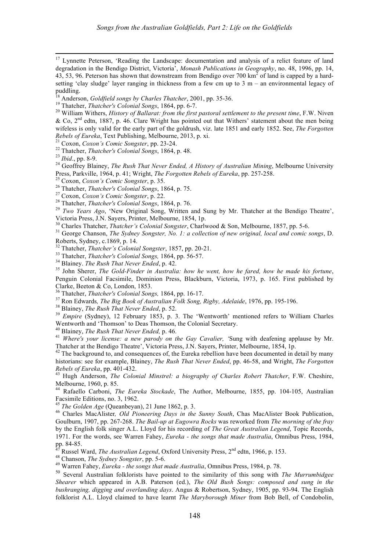<sup>17</sup> Lynnette Peterson, 'Reading the Landscape: documentation and analysis of a relict feature of land degradation in the Bendigo District, Victoria', *Monash Publications in Geography*, no. 48, 1996, pp. 14, 43, 53, 96. Peterson has shown that downstream from Bendigo over 700  $\text{km}^2$  of land is capped by a hardsetting 'clay sludge' layer ranging in thickness from a few cm up to 3 m – an environmental legacy of puddling.

 

<sup>18</sup> Anderson, *Goldfield songs by Charles Thatcher*, 2001, pp. 35-36.<br><sup>19</sup> Thatcher, *Thatcher's Colonial Songs*, 1864, pp. 6-7.<br><sup>20</sup> William Withers, *History of Ballarat: from the first pastoral settlement to the presen* & Co,  $2<sup>nd</sup>$  edtn, 1887, p. 46. Clare Wright has pointed out that Withers' statement about the men being wifeless is only valid for the early part of the goldrush, viz. late 1851 and early 1852. See, *The Forgotten*  Rebels of Eureka, Text Publishing, Melbourne, 2013, p. xi.<br>
<sup>21</sup> Coxon, *Coxon's Comic Songster*, pp. 23-24.<br>
<sup>22</sup> Thatcher, *Thatcher's Colonial Songs*, 1864, p. 48.<br>
<sup>23</sup> Ibid., pp. 8-9.<br>
<sup>24</sup> Geoffrey Blainey, *The Rush* 

Press, Parkville, 1964, p. 41; Wright, *The Forgotten Rebels of Eureka*, pp. 257-258.<br><sup>25</sup> Coxon, *Coxon's Comic Songster*, p. 35.<br><sup>26</sup> Thatcher, *Thatcher's Colonial Songs*, 1864, p. 75.<br><sup>27</sup> Coxon, *Coxon's Comic Songste* 

Victoria Press, J.N. Sayers, Printer, Melbourne, 1854, 1p.<br><sup>30</sup> Charles Thatcher, *Thatcher's Colonial Songster*, Charlwood & Son, Melbourne, 1857, pp. 5-6.

<sup>31</sup> George Chanson, *The Sydney Songster, No. 1: a collection of new original, local and comic songs*, D. Roberts, Sydney, c.1869, p. 14.<br><sup>32</sup> Thatcher, *Thatcher's Colonial Songster*, 1857, pp. 20-21.

<sup>33</sup> Thatcher, *Thatcher's Colonial Songs*, 1864, pp. 56-57.<br><sup>34</sup> Blainey. *The Rush That Never Ended*, p. 42.<br><sup>35</sup> John Sherer, *The Gold-Finder in Australia: how he went, how he fared, how he made his fortune,* Penguin Colonial Facsimile, Dominion Press, Blackburn, Victoria, 1973, p. 165. First published by Clarke, Beeton & Co, London, 1853.<br><sup>36</sup> Thatcher, *Thatcher's Colonial Songs*, 1864, pp. 16-17.

<sup>37</sup> Ron Edwards, *The Big Book of Australian Folk Song, Rigby, Adelaide*, 1976, pp. 195-196.<br><sup>38</sup> Blainey, *The Rush That Never Ended*, p. 52.<br><sup>39</sup> *Empire* (Sydney), 12 February 1853, p. 3. The 'Wentworth' mentioned refe

<sup>40</sup> Blainey, *The Rush That Never Ended*, p. 46.<br><sup>41</sup> *Where's your license: a new parody on the Gay Cavalier*, 'Sung with deafening applause by Mr.<br>Thatcher at the Bendigo Theatre', Victoria Press, J.N. Sayers, Printer,

 $42$  The background to, and consequences of, the Eureka rebellion have been documented in detail by many historians: see for example, Blainey, *The Rush That Never Ended*, pp. 46-58, and Wright, *The Forgotten Rebels of Eureka*, pp. 401-432. <sup>43</sup> Hugh Anderson, *The Colonial Minstrel: a biography of Charles Robert Thatcher*, F.W. Cheshire,

Melbourne, 1960, p. 85.

<sup>44</sup> Rafaello Carboni, *The Eureka Stockade*, The Author, Melbourne, 1855, pp. 104-105, Australian Facsimile Editions, no. 3, 1962.<br><sup>45</sup> *The Golden Age* (Queanbeyan), 21 June 1862, p. 3.<br><sup>46</sup> Charles MacAlister, *Old Pioneering Days in the Sunny South*, Chas MacAlister Book Publication,

Goulburn, 1907, pp. 267-268. *The Bail-up at Eugowra Rocks* was reworked from *The morning of the fray*  by the English folk singer A.L. Lloyd for his recording of *The Great Australian Legend*, Topic Records, 1971. For the words, see Warren Fahey, *Eureka - the songs that made Australia*, Omnibus Press, 1984,

<sup>47</sup> Russel Ward, *The Australian Legend*, Oxford University Press,  $2^{nd}$  edtn, 1966, p. 153.<br><sup>48</sup> Chanson, *The Sydney Songster*, pp. 5-6.<br><sup>49</sup> Warren Fahey, *Eureka - the songs that made Australia*, Omnibus Press, 1984

<sup>50</sup> Several Australian folklorists have pointed to the similarity of this song with *The Murrumbidgee Shearer* which appeared in A.B. Paterson (ed.), *The Old Bush Songs: composed and sung in the bushranging, digging and overlanding days*. Angus & Robertson, Sydney, 1905, pp. 93-94. The English folklorist A.L. Lloyd claimed to have learnt *The Maryborough Miner* from Bob Bell, of Condobolin,